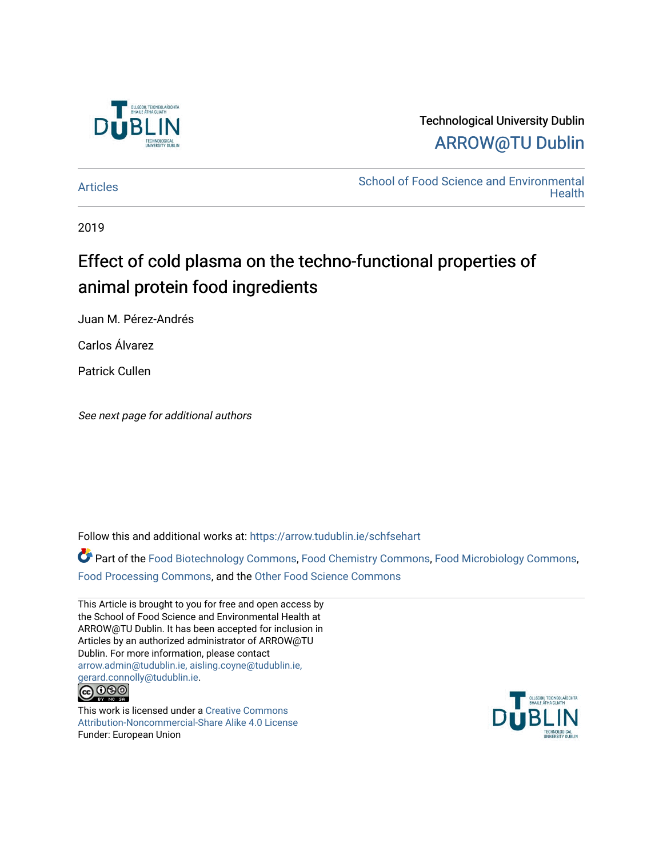

## Technological University Dublin [ARROW@TU Dublin](https://arrow.tudublin.ie/)

[Articles](https://arrow.tudublin.ie/schfsehart) **School of Food Science and Environmental Health** 

2019

## Effect of cold plasma on the techno-functional properties of animal protein food ingredients

Juan M. Pérez-Andrés

Carlos Álvarez

Patrick Cullen

See next page for additional authors

Follow this and additional works at: [https://arrow.tudublin.ie/schfsehart](https://arrow.tudublin.ie/schfsehart?utm_source=arrow.tudublin.ie%2Fschfsehart%2F432&utm_medium=PDF&utm_campaign=PDFCoverPages) 

Part of the [Food Biotechnology Commons](http://network.bepress.com/hgg/discipline/88?utm_source=arrow.tudublin.ie%2Fschfsehart%2F432&utm_medium=PDF&utm_campaign=PDFCoverPages), [Food Chemistry Commons](http://network.bepress.com/hgg/discipline/87?utm_source=arrow.tudublin.ie%2Fschfsehart%2F432&utm_medium=PDF&utm_campaign=PDFCoverPages), [Food Microbiology Commons,](http://network.bepress.com/hgg/discipline/86?utm_source=arrow.tudublin.ie%2Fschfsehart%2F432&utm_medium=PDF&utm_campaign=PDFCoverPages) [Food Processing Commons](http://network.bepress.com/hgg/discipline/85?utm_source=arrow.tudublin.ie%2Fschfsehart%2F432&utm_medium=PDF&utm_campaign=PDFCoverPages), and the [Other Food Science Commons](http://network.bepress.com/hgg/discipline/89?utm_source=arrow.tudublin.ie%2Fschfsehart%2F432&utm_medium=PDF&utm_campaign=PDFCoverPages) 

This Article is brought to you for free and open access by the School of Food Science and Environmental Health at ARROW@TU Dublin. It has been accepted for inclusion in Articles by an authorized administrator of ARROW@TU Dublin. For more information, please contact [arrow.admin@tudublin.ie, aisling.coyne@tudublin.ie,](mailto:arrow.admin@tudublin.ie,%20aisling.coyne@tudublin.ie,%20gerard.connolly@tudublin.ie)  [gerard.connolly@tudublin.ie](mailto:arrow.admin@tudublin.ie,%20aisling.coyne@tudublin.ie,%20gerard.connolly@tudublin.ie).<br>@090



This work is licensed under a [Creative Commons](http://creativecommons.org/licenses/by-nc-sa/4.0/) [Attribution-Noncommercial-Share Alike 4.0 License](http://creativecommons.org/licenses/by-nc-sa/4.0/) Funder: European Union

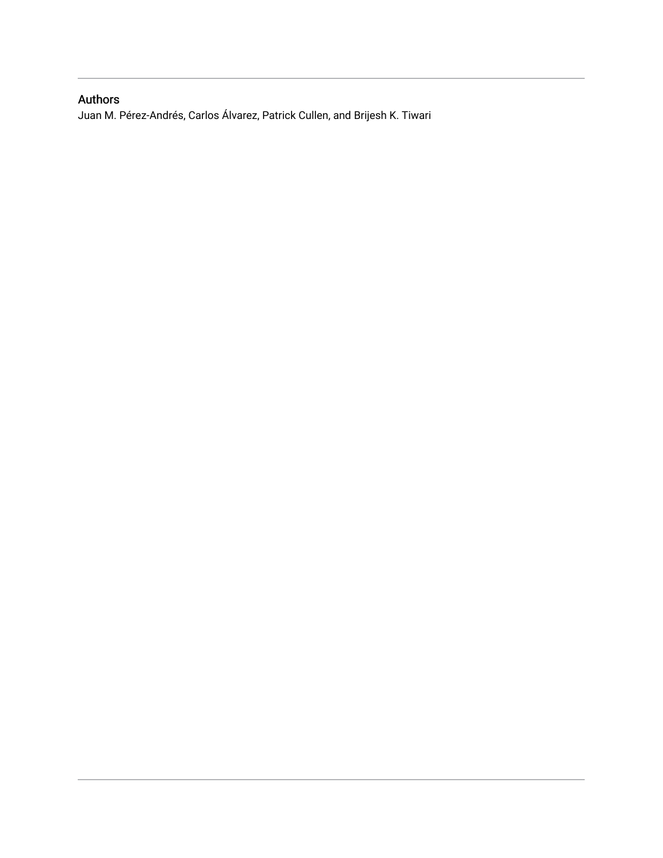## Authors

Juan M. Pérez-Andrés, Carlos Álvarez, Patrick Cullen, and Brijesh K. Tiwari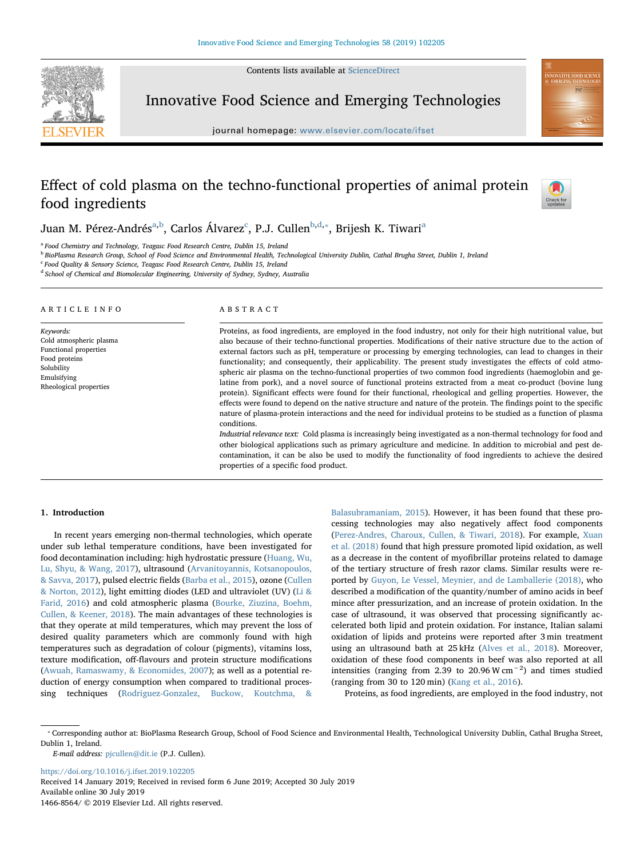Contents lists available at [ScienceDirect](http://www.sciencedirect.com/science/journal/14668564)



Innovative Food Science and Emerging Technologies

journal homepage: [www.elsevier.com/locate/ifset](https://www.elsevier.com/locate/ifset)

# **OVATIVE FOOD SCIENC**

## Effect of cold plasma on the techno-functional properties of animal protein food ingredients



Juan M. Pérez-Andrés<sup>[a,](#page-2-0)[b](#page-2-1)</sup>, Carlos Álvarez<sup>[c](#page-2-2)</sup>, P.J. Cullen<sup>b[,d,](#page-2-3)</sup>\*, Brijesh K. Tiw[a](#page-2-0)ri<sup>a</sup>

<span id="page-2-0"></span><sup>a</sup> Food Chemistry and Technology, Teagasc Food Research Centre, Dublin 15, Ireland

<span id="page-2-1"></span><sup>b</sup> BioPlasma Research Group, School of Food Science and Environmental Health, Technological University Dublin, Cathal Brugha Street, Dublin 1, Ireland

<span id="page-2-2"></span><sup>c</sup> Food Quality & Sensory Science, Teagasc Food Research Centre, Dublin 15, Ireland

<span id="page-2-3"></span><sup>d</sup> School of Chemical and Biomolecular Engineering, University of Sydney, Sydney, Australia

#### ARTICLE INFO

Keywords: Cold atmospheric plasma Functional properties Food proteins Solubility Emulsifying Rheological properties

#### ABSTRACT

Proteins, as food ingredients, are employed in the food industry, not only for their high nutritional value, but also because of their techno-functional properties. Modifications of their native structure due to the action of external factors such as pH, temperature or processing by emerging technologies, can lead to changes in their functionality; and consequently, their applicability. The present study investigates the effects of cold atmospheric air plasma on the techno-functional properties of two common food ingredients (haemoglobin and gelatine from pork), and a novel source of functional proteins extracted from a meat co-product (bovine lung protein). Significant effects were found for their functional, rheological and gelling properties. However, the effects were found to depend on the native structure and nature of the protein. The findings point to the specific nature of plasma-protein interactions and the need for individual proteins to be studied as a function of plasma conditions.

Industrial relevance text: Cold plasma is increasingly being investigated as a non-thermal technology for food and other biological applications such as primary agriculture and medicine. In addition to microbial and pest decontamination, it can be also be used to modify the functionality of food ingredients to achieve the desired properties of a specific food product.

#### 1. Introduction

In recent years emerging non-thermal technologies, which operate under sub lethal temperature conditions, have been investigated for food decontamination including: high hydrostatic pressure [\(Huang, Wu,](#page-7-0) [Lu, Shyu, & Wang, 2017](#page-7-0)), ultrasound [\(Arvanitoyannis, Kotsanopoulos,](#page-7-1) [& Savva, 2017\)](#page-7-1), pulsed electric fields [\(Barba et al., 2015](#page-7-2)), ozone ([Cullen](#page-7-3) [& Norton, 2012](#page-7-3)), light emitting diodes (LED and ultraviolet (UV) ([Li &](#page-7-4) [Farid, 2016\)](#page-7-4) and cold atmospheric plasma [\(Bourke, Ziuzina, Boehm,](#page-7-5) [Cullen, & Keener, 2018](#page-7-5)). The main advantages of these technologies is that they operate at mild temperatures, which may prevent the loss of desired quality parameters which are commonly found with high temperatures such as degradation of colour (pigments), vitamins loss, texture modification, off-flavours and protein structure modifications ([Awuah, Ramaswamy, & Economides, 2007](#page-7-6)); as well as a potential reduction of energy consumption when compared to traditional processing techniques ([Rodriguez-Gonzalez, Buckow, Koutchma, &](#page-8-0)

[Balasubramaniam, 2015](#page-8-0)). However, it has been found that these processing technologies may also negatively affect food components ([Perez-Andres, Charoux, Cullen, & Tiwari, 2018\)](#page-8-1). For example, [Xuan](#page-8-2) [et al. \(2018\)](#page-8-2) found that high pressure promoted lipid oxidation, as well as a decrease in the content of myofibrillar proteins related to damage of the tertiary structure of fresh razor clams. Similar results were reported by [Guyon, Le Vessel, Meynier, and de Lamballerie \(2018\),](#page-7-7) who described a modification of the quantity/number of amino acids in beef mince after pressurization, and an increase of protein oxidation. In the case of ultrasound, it was observed that processing significantly accelerated both lipid and protein oxidation. For instance, Italian salami oxidation of lipids and proteins were reported after 3 min treatment using an ultrasound bath at 25 kHz ([Alves et al., 2018](#page-7-8)). Moreover, oxidation of these food components in beef was also reported at all intensities (ranging from 2.39 to 20.96 W cm<sup>-2</sup>) and times studied (ranging from 30 to 120 min) [\(Kang et al., 2016\)](#page-7-9).

Proteins, as food ingredients, are employed in the food industry, not

E-mail address: [pjcullen@dit.ie](mailto:pjcullen@dit.ie) (P.J. Cullen).

<https://doi.org/10.1016/j.ifset.2019.102205> Received 14 January 2019; Received in revised form 6 June 2019; Accepted 30 July 2019 Available online 30 July 2019

1466-8564/ © 2019 Elsevier Ltd. All rights reserved.

<span id="page-2-4"></span><sup>⁎</sup> Corresponding author at: BioPlasma Research Group, School of Food Science and Environmental Health, Technological University Dublin, Cathal Brugha Street, Dublin 1, Ireland.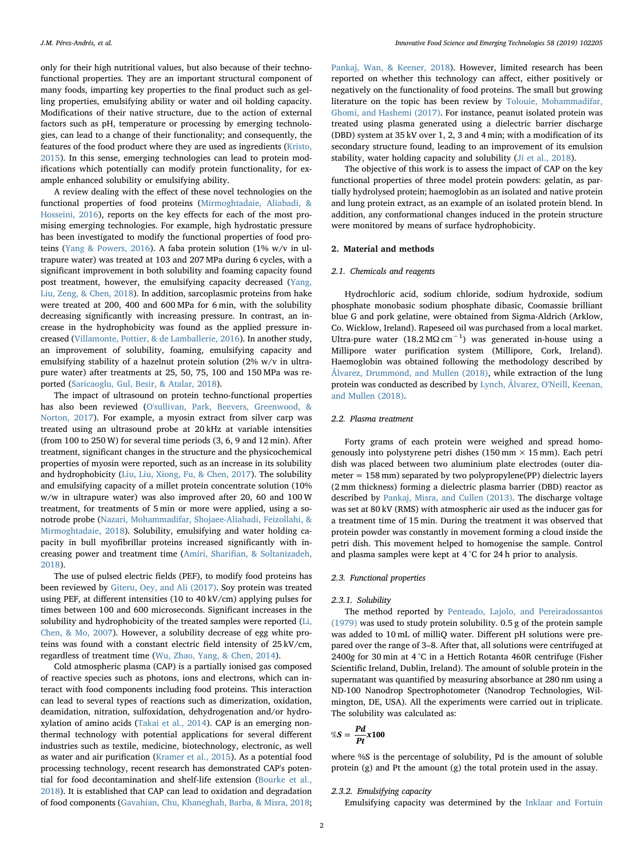only for their high nutritional values, but also because of their technofunctional properties. They are an important structural component of many foods, imparting key properties to the final product such as gelling properties, emulsifying ability or water and oil holding capacity. Modifications of their native structure, due to the action of external factors such as pH, temperature or processing by emerging technologies, can lead to a change of their functionality; and consequently, the features of the food product where they are used as ingredients ([Kristo,](#page-7-10) [2015\)](#page-7-10). In this sense, emerging technologies can lead to protein modifications which potentially can modify protein functionality, for example enhanced solubility or emulsifying ability.

A review dealing with the effect of these novel technologies on the functional properties of food proteins ([Mirmoghtadaie, Aliabadi, &](#page-8-3) [Hosseini, 2016\)](#page-8-3), reports on the key effects for each of the most promising emerging technologies. For example, high hydrostatic pressure has been investigated to modify the functional properties of food proteins [\(Yang & Powers, 2016\)](#page-8-4). A faba protein solution (1% w/v in ultrapure water) was treated at 103 and 207 MPa during 6 cycles, with a significant improvement in both solubility and foaming capacity found post treatment, however, the emulsifying capacity decreased ([Yang,](#page-8-5) [Liu, Zeng, & Chen, 2018](#page-8-5)). In addition, sarcoplasmic proteins from hake were treated at 200, 400 and 600 MPa for 6 min, with the solubility decreasing significantly with increasing pressure. In contrast, an increase in the hydrophobicity was found as the applied pressure increased ([Villamonte, Pottier, & de Lamballerie, 2016\)](#page-8-6). In another study, an improvement of solubility, foaming, emulsifying capacity and emulsifying stability of a hazelnut protein solution (2% w/v in ultrapure water) after treatments at 25, 50, 75, 100 and 150 MPa was reported [\(Saricaoglu, Gul, Besir, & Atalar, 2018](#page-8-7)).

The impact of ultrasound on protein techno-functional properties has also been reviewed ([O'sullivan, Park, Beevers, Greenwood, &](#page-8-8) [Norton, 2017](#page-8-8)). For example, a myosin extract from silver carp was treated using an ultrasound probe at 20 kHz at variable intensities (from 100 to 250 W) for several time periods (3, 6, 9 and 12 min). After treatment, significant changes in the structure and the physicochemical properties of myosin were reported, such as an increase in its solubility and hydrophobicity ([Liu, Liu, Xiong, Fu, & Chen, 2017](#page-8-9)). The solubility and emulsifying capacity of a millet protein concentrate solution (10% w/w in ultrapure water) was also improved after 20, 60 and 100 W treatment, for treatments of 5 min or more were applied, using a sonotrode probe [\(Nazari, Mohammadifar, Shojaee-Aliabadi, Feizollahi, &](#page-8-10) [Mirmoghtadaie, 2018](#page-8-10)). Solubility, emulsifying and water holding capacity in bull myofibrillar proteins increased significantly with increasing power and treatment time (Amiri, Sharifi[an, & Soltanizadeh,](#page-7-11) [2018\)](#page-7-11).

The use of pulsed electric fields (PEF), to modify food proteins has been reviewed by [Giteru, Oey, and Ali \(2017\)](#page-7-12). Soy protein was treated using PEF, at different intensities (10 to 40 kV/cm) applying pulses for times between 100 and 600 microseconds. Significant increases in the solubility and hydrophobicity of the treated samples were reported ([Li,](#page-7-13) [Chen, & Mo, 2007](#page-7-13)). However, a solubility decrease of egg white proteins was found with a constant electric field intensity of 25 kV/cm, regardless of treatment time ([Wu, Zhao, Yang, & Chen, 2014\)](#page-8-11).

Cold atmospheric plasma (CAP) is a partially ionised gas composed of reactive species such as photons, ions and electrons, which can interact with food components including food proteins. This interaction can lead to several types of reactions such as dimerization, oxidation, deamidation, nitration, sulfoxidation, dehydrogenation and/or hydroxylation of amino acids ([Takai et al., 2014](#page-8-12)). CAP is an emerging nonthermal technology with potential applications for several different industries such as textile, medicine, biotechnology, electronic, as well as water and air purification [\(Kramer et al., 2015\)](#page-7-14). As a potential food processing technology, recent research has demonstrated CAP's potential for food decontamination and shelf-life extension [\(Bourke et al.,](#page-7-5) [2018\)](#page-7-5). It is established that CAP can lead to oxidation and degradation of food components ([Gavahian, Chu, Khaneghah, Barba, & Misra, 2018](#page-7-15);

[Pankaj, Wan, & Keener, 2018](#page-8-13)). However, limited research has been reported on whether this technology can affect, either positively or negatively on the functionality of food proteins. The small but growing literature on the topic has been review by [Tolouie, Mohammadifar,](#page-8-14) [Ghomi, and Hashemi \(2017\).](#page-8-14) For instance, peanut isolated protein was treated using plasma generated using a dielectric barrier discharge (DBD) system at 35 kV over 1, 2, 3 and 4 min; with a modification of its secondary structure found, leading to an improvement of its emulsion stability, water holding capacity and solubility ([Ji et al., 2018](#page-7-16)).

The objective of this work is to assess the impact of CAP on the key functional properties of three model protein powders: gelatin, as partially hydrolysed protein; haemoglobin as an isolated and native protein and lung protein extract, as an example of an isolated protein blend. In addition, any conformational changes induced in the protein structure were monitored by means of surface hydrophobicity.

### 2. Material and methods

#### 2.1. Chemicals and reagents

Hydrochloric acid, sodium chloride, sodium hydroxide, sodium phosphate monobasic sodium phosphate dibasic, Coomassie brilliant blue G and pork gelatine, were obtained from Sigma-Aldrich (Arklow, Co. Wicklow, Ireland). Rapeseed oil was purchased from a local market. Ultra-pure water  $(18.2 \text{ M}\Omega \text{ cm}^{-1})$  was generated in-house using a Millipore water purification system (Millipore, Cork, Ireland). Haemoglobin was obtained following the methodology described by [Álvarez, Drummond, and Mullen \(2018\),](#page-7-17) while extraction of the lung protein was conducted as described by [Lynch, Álvarez, O'Neill, Keenan,](#page-8-15) [and Mullen \(2018\).](#page-8-15)

#### 2.2. Plasma treatment

Forty grams of each protein were weighed and spread homogenously into polystyrene petri dishes (150 mm  $\times$  15 mm). Each petri dish was placed between two aluminium plate electrodes (outer diameter = 158 mm) separated by two polypropylene(PP) dielectric layers (2 mm thickness) forming a dielectric plasma barrier (DBD) reactor as described by [Pankaj, Misra, and Cullen \(2013\)](#page-8-16). The discharge voltage was set at 80 kV (RMS) with atmospheric air used as the inducer gas for a treatment time of 15 min. During the treatment it was observed that protein powder was constantly in movement forming a cloud inside the petri dish. This movement helped to homogenise the sample. Control and plasma samples were kept at 4 °C for 24 h prior to analysis.

#### 2.3. Functional properties

#### 2.3.1. Solubility

The method reported by [Penteado, Lajolo, and Pereiradossantos](#page-8-17) [\(1979\)](#page-8-17) was used to study protein solubility. 0.5 g of the protein sample was added to 10 mL of milliQ water. Different pH solutions were prepared over the range of 3–8. After that, all solutions were centrifuged at 2400g for 30 min at 4 °C in a Hettich Rotanta 460R centrifuge (Fisher Scientific Ireland, Dublin, Ireland). The amount of soluble protein in the supernatant was quantified by measuring absorbance at 280 nm using a ND-100 Nanodrop Spectrophotometer (Nanodrop Technologies, Wilmington, DE, USA). All the experiments were carried out in triplicate. The solubility was calculated as:

$$
\%S=\frac{Pd}{Pt}x100
$$

where %S is the percentage of solubility, Pd is the amount of soluble protein (g) and Pt the amount (g) the total protein used in the assay.

#### 2.3.2. Emulsifying capacity

Emulsifying capacity was determined by the [Inklaar and Fortuin](#page-7-18)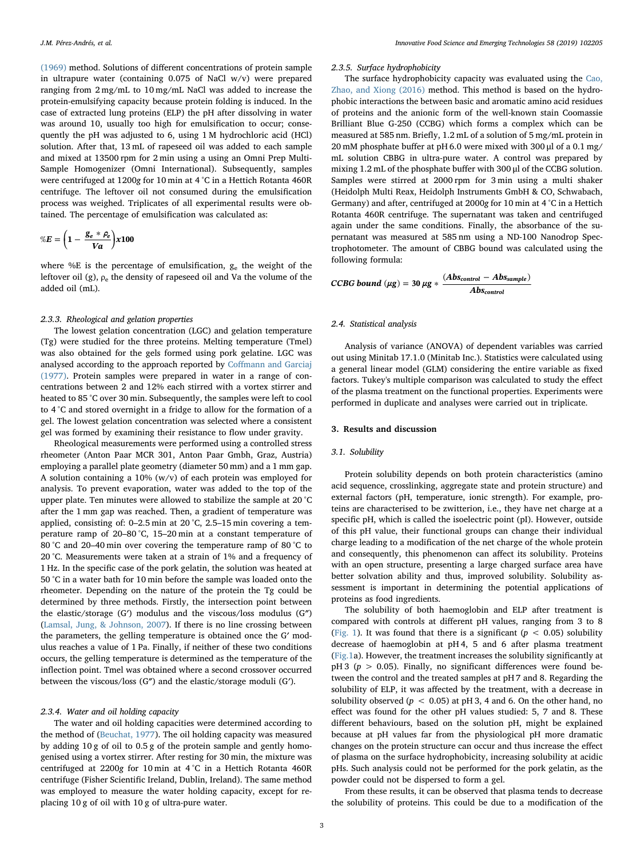[\(1969\)](#page-7-18) method. Solutions of different concentrations of protein sample in ultrapure water (containing 0.075 of NaCl w/v) were prepared ranging from 2 mg/mL to 10 mg/mL NaCl was added to increase the protein-emulsifying capacity because protein folding is induced. In the case of extracted lung proteins (ELP) the pH after dissolving in water was around 10, usually too high for emulsification to occur; consequently the pH was adjusted to 6, using 1 M hydrochloric acid (HCl) solution. After that, 13 mL of rapeseed oil was added to each sample and mixed at 13500 rpm for 2 min using a using an Omni Prep Multi-Sample Homogenizer (Omni International). Subsequently, samples were centrifuged at 1200g for 10 min at 4 °C in a Hettich Rotanta 460R centrifuge. The leftover oil not consumed during the emulsification process was weighed. Triplicates of all experimental results were obtained. The percentage of emulsification was calculated as:

$$
\%E = \left(1 - \frac{g_e * \rho_e}{Va}\right) \times 100
$$

where %E is the percentage of emulsification, ge the weight of the leftover oil (g),  $\rho_e$  the density of rapeseed oil and Va the volume of the added oil (mL).

#### 2.3.3. Rheological and gelation properties

The lowest gelation concentration (LGC) and gelation temperature (Tg) were studied for the three proteins. Melting temperature (Tmel) was also obtained for the gels formed using pork gelatine. LGC was analysed according to the approach reported by Coff[mann and Garciaj](#page-7-19) [\(1977\).](#page-7-19) Protein samples were prepared in water in a range of concentrations between 2 and 12% each stirred with a vortex stirrer and heated to 85 °C over 30 min. Subsequently, the samples were left to cool to 4 °C and stored overnight in a fridge to allow for the formation of a gel. The lowest gelation concentration was selected where a consistent gel was formed by examining their resistance to flow under gravity.

Rheological measurements were performed using a controlled stress rheometer (Anton Paar MCR 301, Anton Paar Gmbh, Graz, Austria) employing a parallel plate geometry (diameter 50 mm) and a 1 mm gap. A solution containing a 10% (w/v) of each protein was employed for analysis. To prevent evaporation, water was added to the top of the upper plate. Ten minutes were allowed to stabilize the sample at 20 °C after the 1 mm gap was reached. Then, a gradient of temperature was applied, consisting of: 0–2.5 min at 20 °C, 2.5–15 min covering a temperature ramp of 20–80 °C, 15–20 min at a constant temperature of 80 °C and 20–40 min over covering the temperature ramp of 80 °C to 20 °C. Measurements were taken at a strain of 1% and a frequency of 1 Hz. In the specific case of the pork gelatin, the solution was heated at 50 °C in a water bath for 10 min before the sample was loaded onto the rheometer. Depending on the nature of the protein the Tg could be determined by three methods. Firstly, the intersection point between the elastic/storage (G′) modulus and the viscous/loss modulus (G″) ([Lamsal, Jung, & Johnson, 2007\)](#page-7-20). If there is no line crossing between the parameters, the gelling temperature is obtained once the G′ modulus reaches a value of 1 Pa. Finally, if neither of these two conditions occurs, the gelling temperature is determined as the temperature of the inflection point. Tmel was obtained where a second crossover occurred between the viscous/loss (G″) and the elastic/storage moduli (G′).

#### 2.3.4. Water and oil holding capacity

The water and oil holding capacities were determined according to the method of ([Beuchat, 1977](#page-7-21)). The oil holding capacity was measured by adding 10 g of oil to 0.5 g of the protein sample and gently homogenised using a vortex stirrer. After resting for 30 min, the mixture was centrifuged at 2200g for 10 min at 4 °C in a Hettich Rotanta 460R centrifuge (Fisher Scientific Ireland, Dublin, Ireland). The same method was employed to measure the water holding capacity, except for replacing 10 g of oil with 10 g of ultra-pure water.

#### 2.3.5. Surface hydrophobicity

The surface hydrophobicity capacity was evaluated using the [Cao,](#page-7-22) [Zhao, and Xiong \(2016\)](#page-7-22) method. This method is based on the hydrophobic interactions the between basic and aromatic amino acid residues of proteins and the anionic form of the well-known stain Coomassie Brilliant Blue G-250 (CCBG) which forms a complex which can be measured at 585 nm. Briefly, 1.2 mL of a solution of 5 mg/mL protein in 20 mM phosphate buffer at pH 6.0 were mixed with 300 μl of a 0.1 mg/ mL solution CBBG in ultra-pure water. A control was prepared by mixing 1.2 mL of the phosphate buffer with 300 ul of the CCBG solution. Samples were stirred at 2000 rpm for 3 min using a multi shaker (Heidolph Multi Reax, Heidolph Instruments GmbH & CO, Schwabach, Germany) and after, centrifuged at 2000g for 10 min at 4 °C in a Hettich Rotanta 460R centrifuge. The supernatant was taken and centrifuged again under the same conditions. Finally, the absorbance of the supernatant was measured at 585 nm using a ND-100 Nanodrop Spectrophotometer. The amount of CBBG bound was calculated using the following formula:

$$
CCBG bound (µg) = 30 µg * \frac{(Abs_{control} - Abs_{sample})}{Abs_{control}}
$$

#### 2.4. Statistical analysis

Analysis of variance (ANOVA) of dependent variables was carried out using Minitab 17.1.0 (Minitab Inc.). Statistics were calculated using a general linear model (GLM) considering the entire variable as fixed factors. Tukey's multiple comparison was calculated to study the effect of the plasma treatment on the functional properties. Experiments were performed in duplicate and analyses were carried out in triplicate.

#### 3. Results and discussion

#### 3.1. Solubility

Protein solubility depends on both protein characteristics (amino acid sequence, crosslinking, aggregate state and protein structure) and external factors (pH, temperature, ionic strength). For example, proteins are characterised to be zwitterion, i.e., they have net charge at a specific pH, which is called the isoelectric point (pI). However, outside of this pH value, their functional groups can change their individual charge leading to a modification of the net charge of the whole protein and consequently, this phenomenon can affect its solubility. Proteins with an open structure, presenting a large charged surface area have better solvation ability and thus, improved solubility. Solubility assessment is important in determining the potential applications of proteins as food ingredients.

The solubility of both haemoglobin and ELP after treatment is compared with controls at different pH values, ranging from 3 to 8 ([Fig. 1](#page-5-0)). It was found that there is a significant ( $p < 0.05$ ) solubility decrease of haemoglobin at pH 4, 5 and 6 after plasma treatment ([Fig.1](#page-5-0)a). However, the treatment increases the solubility significantly at pH 3 ( $p > 0.05$ ). Finally, no significant differences were found between the control and the treated samples at pH 7 and 8. Regarding the solubility of ELP, it was affected by the treatment, with a decrease in solubility observed ( $p < 0.05$ ) at pH 3, 4 and 6. On the other hand, no effect was found for the other pH values studied: 5, 7 and 8. These different behaviours, based on the solution pH, might be explained because at pH values far from the physiological pH more dramatic changes on the protein structure can occur and thus increase the effect of plasma on the surface hydrophobicity, increasing solubility at acidic pHs. Such analysis could not be performed for the pork gelatin, as the powder could not be dispersed to form a gel.

From these results, it can be observed that plasma tends to decrease the solubility of proteins. This could be due to a modification of the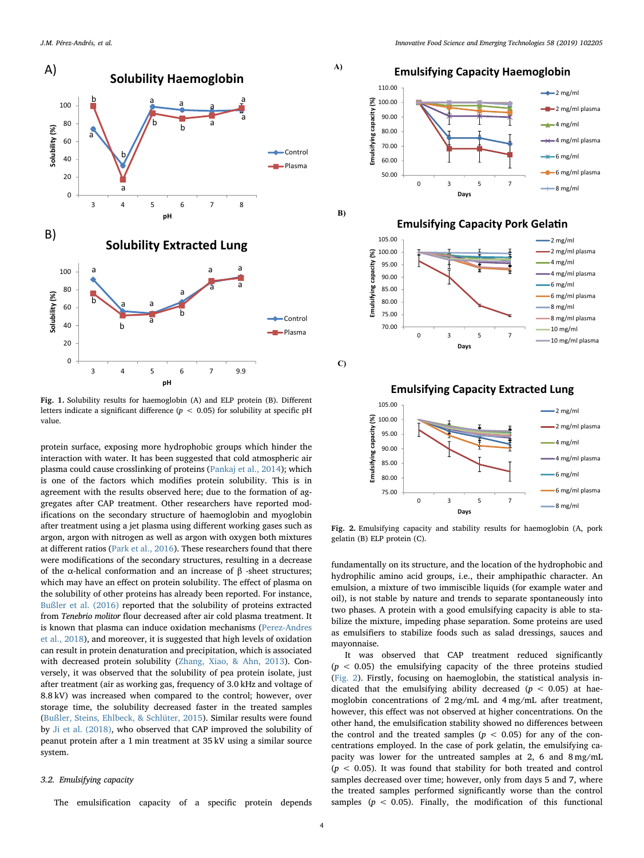<span id="page-5-0"></span>

Fig. 1. Solubility results for haemoglobin (A) and ELP protein (B). Different letters indicate a significant difference ( $p < 0.05$ ) for solubility at specific pH value.

protein surface, exposing more hydrophobic groups which hinder the interaction with water. It has been suggested that cold atmospheric air plasma could cause crosslinking of proteins [\(Pankaj et al., 2014\)](#page-8-18); which is one of the factors which modifies protein solubility. This is in agreement with the results observed here; due to the formation of aggregates after CAP treatment. Other researchers have reported modifications on the secondary structure of haemoglobin and myoglobin after treatment using a jet plasma using different working gases such as argon, argon with nitrogen as well as argon with oxygen both mixtures at different ratios [\(Park et al., 2016\)](#page-8-19). These researchers found that there were modifications of the secondary structures, resulting in a decrease of the α-helical conformation and an increase of β -sheet structures; which may have an effect on protein solubility. The effect of plasma on the solubility of other proteins has already been reported. For instance, [Bußler et al. \(2016\)](#page-7-23) reported that the solubility of proteins extracted from Tenebrio molitor flour decreased after air cold plasma treatment. It is known that plasma can induce oxidation mechanisms [\(Perez-Andres](#page-8-1) [et al., 2018](#page-8-1)), and moreover, it is suggested that high levels of oxidation can result in protein denaturation and precipitation, which is associated with decreased protein solubility [\(Zhang, Xiao, & Ahn, 2013](#page-8-20)). Conversely, it was observed that the solubility of pea protein isolate, just after treatment (air as working gas, frequency of 3.0 kHz and voltage of 8.8 kV) was increased when compared to the control; however, over storage time, the solubility decreased faster in the treated samples ([Bußler, Steins, Ehlbeck, & Schlüter, 2015](#page-7-24)). Similar results were found by [Ji et al. \(2018\)](#page-7-16), who observed that CAP improved the solubility of peanut protein after a 1 min treatment at 35 kV using a similar source system.

#### 3.2. Emulsifying capacity

The emulsification capacity of a specific protein depends

<span id="page-5-1"></span>**A)** 

**B)** 

**C)** 





Fig. 2. Emulsifying capacity and stability results for haemoglobin (A, pork gelatin (B) ELP protein (C).

fundamentally on its structure, and the location of the hydrophobic and hydrophilic amino acid groups, i.e., their amphipathic character. An emulsion, a mixture of two immiscible liquids (for example water and oil), is not stable by nature and trends to separate spontaneously into two phases. A protein with a good emulsifying capacity is able to stabilize the mixture, impeding phase separation. Some proteins are used as emulsifiers to stabilize foods such as salad dressings, sauces and mayonnaise.

It was observed that CAP treatment reduced significantly  $(p < 0.05)$  the emulsifying capacity of the three proteins studied ([Fig. 2\)](#page-5-1). Firstly, focusing on haemoglobin, the statistical analysis indicated that the emulsifying ability decreased ( $p < 0.05$ ) at haemoglobin concentrations of 2 mg/mL and 4 mg/mL after treatment, however, this effect was not observed at higher concentrations. On the other hand, the emulsification stability showed no differences between the control and the treated samples  $(p < 0.05)$  for any of the concentrations employed. In the case of pork gelatin, the emulsifying capacity was lower for the untreated samples at 2, 6 and 8 mg/mL  $(p < 0.05)$ . It was found that stability for both treated and control samples decreased over time; however, only from days 5 and 7, where the treated samples performed significantly worse than the control samples ( $p < 0.05$ ). Finally, the modification of this functional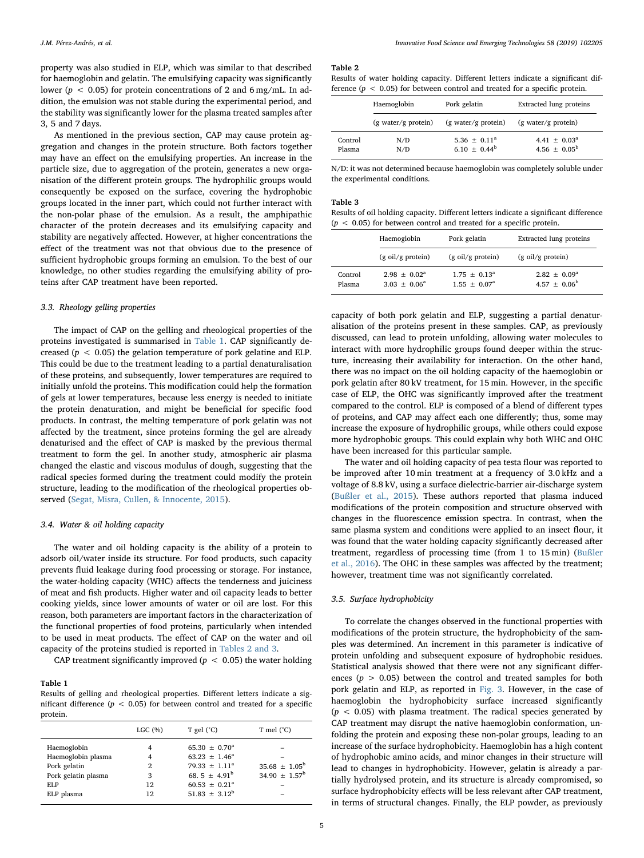property was also studied in ELP, which was similar to that described for haemoglobin and gelatin. The emulsifying capacity was significantly lower ( $p < 0.05$ ) for protein concentrations of 2 and 6 mg/mL. In addition, the emulsion was not stable during the experimental period, and the stability was significantly lower for the plasma treated samples after 3, 5 and 7 days.

As mentioned in the previous section, CAP may cause protein aggregation and changes in the protein structure. Both factors together may have an effect on the emulsifying properties. An increase in the particle size, due to aggregation of the protein, generates a new organisation of the different protein groups. The hydrophilic groups would consequently be exposed on the surface, covering the hydrophobic groups located in the inner part, which could not further interact with the non-polar phase of the emulsion. As a result, the amphipathic character of the protein decreases and its emulsifying capacity and stability are negatively affected. However, at higher concentrations the effect of the treatment was not that obvious due to the presence of sufficient hydrophobic groups forming an emulsion. To the best of our knowledge, no other studies regarding the emulsifying ability of proteins after CAP treatment have been reported.

#### 3.3. Rheology gelling properties

The impact of CAP on the gelling and rheological properties of the proteins investigated is summarised in [Table 1](#page-6-0). CAP significantly decreased ( $p < 0.05$ ) the gelation temperature of pork gelatine and ELP. This could be due to the treatment leading to a partial denaturalisation of these proteins, and subsequently, lower temperatures are required to initially unfold the proteins. This modification could help the formation of gels at lower temperatures, because less energy is needed to initiate the protein denaturation, and might be beneficial for specific food products. In contrast, the melting temperature of pork gelatin was not affected by the treatment, since proteins forming the gel are already denaturised and the effect of CAP is masked by the previous thermal treatment to form the gel. In another study, atmospheric air plasma changed the elastic and viscous modulus of dough, suggesting that the radical species formed during the treatment could modify the protein structure, leading to the modification of the rheological properties observed [\(Segat, Misra, Cullen, & Innocente, 2015](#page-8-21)).

#### 3.4. Water & oil holding capacity

The water and oil holding capacity is the ability of a protein to adsorb oil/water inside its structure. For food products, such capacity prevents fluid leakage during food processing or storage. For instance, the water-holding capacity (WHC) affects the tenderness and juiciness of meat and fish products. Higher water and oil capacity leads to better cooking yields, since lower amounts of water or oil are lost. For this reason, both parameters are important factors in the characterization of the functional properties of food proteins, particularly when intended to be used in meat products. The effect of CAP on the water and oil capacity of the proteins studied is reported in [Tables 2 and 3.](#page-6-1)

CAP treatment significantly improved ( $p < 0.05$ ) the water holding

#### <span id="page-6-0"></span>Table 1

Results of gelling and rheological properties. Different letters indicate a significant difference ( $p < 0.05$ ) for between control and treated for a specific protein.

|                     | LGC $(%)$ | T gel $(^{\circ}C)$           | T mel $(^{\circ}C)$           |
|---------------------|-----------|-------------------------------|-------------------------------|
| Haemoglobin         | 4         | 65.30 $\pm$ 0.70 <sup>a</sup> |                               |
| Haemoglobin plasma  | 4         | $63.23 + 1.46^a$              |                               |
| Pork gelatin        | 2         | $79.33 + 1.11^a$              | $35.68 \pm 1.05^{\rm b}$      |
| Pork gelatin plasma | 3         | 68.5 $\pm$ 4.91 <sup>b</sup>  | 34.90 $\pm$ 1.57 <sup>b</sup> |
| ELP                 | 12        | $60.53 \pm 0.21^a$            |                               |
| ELP plasma          | 12        | $51.83 \pm 3.12^b$            |                               |

#### J.M. Pérez-Andrés, et al. *Innovative Food Science and Emerging Technologies 58 (2019) 102205*

#### <span id="page-6-1"></span>Table 2

|  |  |  |  |  | Results of water holding capacity. Different letters indicate a significant dif- |  |
|--|--|--|--|--|----------------------------------------------------------------------------------|--|
|  |  |  |  |  | ference ( $p < 0.05$ ) for between control and treated for a specific protein.   |  |

|                   | Haemoglobin                   | Pork gelatin                           | Extracted lung proteins                                 |  |  |
|-------------------|-------------------------------|----------------------------------------|---------------------------------------------------------|--|--|
|                   | $(g \text{ water/g protein})$ | $(g \text{ water/g protein})$          | (g water/g protein)                                     |  |  |
| Control<br>Plasma | N/D<br>N/D                    | $5.36 \pm 0.11^a$<br>$6.10 \pm 0.44^b$ | 4.41 $\pm$ 0.03 <sup>a</sup><br>$4.56 \pm 0.05^{\rm b}$ |  |  |

N/D: it was not determined because haemoglobin was completely soluble under the experimental conditions.

#### Table 3

Results of oil holding capacity. Different letters indicate a significant difference  $(p < 0.05)$  for between control and treated for a specific protein.

|                   | Haemoglobin                        | Pork gelatin                                       | Extracted lung proteins                            |  |  |
|-------------------|------------------------------------|----------------------------------------------------|----------------------------------------------------|--|--|
|                   | $(g \text{ oil/g protein})$        | $(g \text{ oil/g protein})$                        | $(g \text{ oil/g protein})$                        |  |  |
| Control<br>Plasma | $2.98 + 0.02^a$<br>$3.03 + 0.06^a$ | $1.75 \pm 0.13^{\circ}$<br>$1.55 \pm 0.07^{\circ}$ | $2.82 \pm 0.09^{\circ}$<br>$4.57 \pm 0.06^{\rm b}$ |  |  |

capacity of both pork gelatin and ELP, suggesting a partial denaturalisation of the proteins present in these samples. CAP, as previously discussed, can lead to protein unfolding, allowing water molecules to interact with more hydrophilic groups found deeper within the structure, increasing their availability for interaction. On the other hand, there was no impact on the oil holding capacity of the haemoglobin or pork gelatin after 80 kV treatment, for 15 min. However, in the specific case of ELP, the OHC was significantly improved after the treatment compared to the control. ELP is composed of a blend of different types of proteins, and CAP may affect each one differently; thus, some may increase the exposure of hydrophilic groups, while others could expose more hydrophobic groups. This could explain why both WHC and OHC have been increased for this particular sample.

The water and oil holding capacity of pea testa flour was reported to be improved after 10 min treatment at a frequency of 3.0 kHz and a voltage of 8.8 kV, using a surface dielectric-barrier air-discharge system ([Bußler et al., 2015](#page-7-24)). These authors reported that plasma induced modifications of the protein composition and structure observed with changes in the fluorescence emission spectra. In contrast, when the same plasma system and conditions were applied to an insect flour, it was found that the water holding capacity significantly decreased after treatment, regardless of processing time (from 1 to 15 min) ([Bußler](#page-7-23) [et al., 2016\)](#page-7-23). The OHC in these samples was affected by the treatment; however, treatment time was not significantly correlated.

#### 3.5. Surface hydrophobicity

To correlate the changes observed in the functional properties with modifications of the protein structure, the hydrophobicity of the samples was determined. An increment in this parameter is indicative of protein unfolding and subsequent exposure of hydrophobic residues. Statistical analysis showed that there were not any significant differences ( $p > 0.05$ ) between the control and treated samples for both pork gelatin and ELP, as reported in [Fig. 3.](#page-7-25) However, in the case of haemoglobin the hydrophobicity surface increased significantly  $(p < 0.05)$  with plasma treatment. The radical species generated by CAP treatment may disrupt the native haemoglobin conformation, unfolding the protein and exposing these non-polar groups, leading to an increase of the surface hydrophobicity. Haemoglobin has a high content of hydrophobic amino acids, and minor changes in their structure will lead to changes in hydrophobicity. However, gelatin is already a partially hydrolysed protein, and its structure is already compromised, so surface hydrophobicity effects will be less relevant after CAP treatment, in terms of structural changes. Finally, the ELP powder, as previously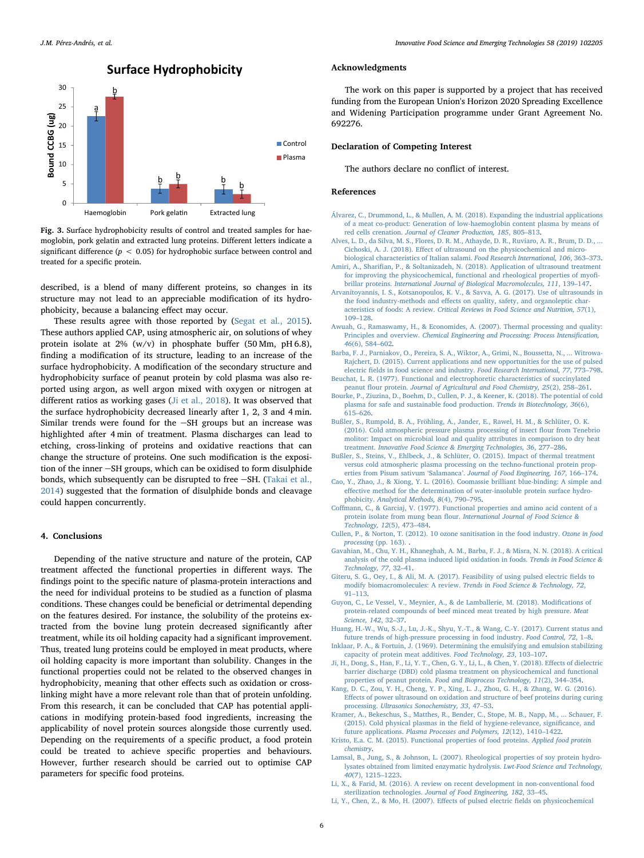<span id="page-7-25"></span>

Fig. 3. Surface hydrophobicity results of control and treated samples for haemoglobin, pork gelatin and extracted lung proteins. Different letters indicate a significant difference ( $p < 0.05$ ) for hydrophobic surface between control and treated for a specific protein.

described, is a blend of many different proteins, so changes in its structure may not lead to an appreciable modification of its hydrophobicity, because a balancing effect may occur.

These results agree with those reported by ([Segat et al., 2015](#page-8-21)). These authors applied CAP, using atmospheric air, on solutions of whey protein isolate at 2% (w/v) in phosphate buffer (50 Mm, pH 6.8), finding a modification of its structure, leading to an increase of the surface hydrophobicity. A modification of the secondary structure and hydrophobicity surface of peanut protein by cold plasma was also reported using argon, as well argon mixed with oxygen or nitrogen at different ratios as working gases ([Ji et al., 2018](#page-7-16)). It was observed that the surface hydrophobicity decreased linearly after 1, 2, 3 and 4 min. Similar trends were found for the  $-SH$  groups but an increase was highlighted after 4 min of treatment. Plasma discharges can lead to etching, cross-linking of proteins and oxidative reactions that can change the structure of proteins. One such modification is the exposition of the inner -SH groups, which can be oxidised to form disulphide bonds, which subsequently can be disrupted to free  $-SH$ . ([Takai et al.,](#page-8-12) [2014\)](#page-8-12) suggested that the formation of disulphide bonds and cleavage could happen concurrently.

#### 4. Conclusions

Depending of the native structure and nature of the protein, CAP treatment affected the functional properties in different ways. The findings point to the specific nature of plasma-protein interactions and the need for individual proteins to be studied as a function of plasma conditions. These changes could be beneficial or detrimental depending on the features desired. For instance, the solubility of the proteins extracted from the bovine lung protein decreased significantly after treatment, while its oil holding capacity had a significant improvement. Thus, treated lung proteins could be employed in meat products, where oil holding capacity is more important than solubility. Changes in the functional properties could not be related to the observed changes in hydrophobicity, meaning that other effects such as oxidation or crosslinking might have a more relevant role than that of protein unfolding. From this research, it can be concluded that CAP has potential applications in modifying protein-based food ingredients, increasing the applicability of novel protein sources alongside those currently used. Depending on the requirements of a specific product, a food protein could be treated to achieve specific properties and behaviours. However, further research should be carried out to optimise CAP parameters for specific food proteins.

#### Acknowledgments

The work on this paper is supported by a project that has received funding from the European Union's Horizon 2020 Spreading Excellence and Widening Participation programme under Grant Agreement No. 692276.

#### Declaration of Competing Interest

The authors declare no conflict of interest.

#### References

- <span id="page-7-17"></span>[Álvarez, C., Drummond, L., & Mullen, A. M. \(2018\). Expanding the industrial applications](http://refhub.elsevier.com/S1466-8564(19)30042-6/rf0005) [of a meat co-product: Generation of low-haemoglobin content plasma by means of](http://refhub.elsevier.com/S1466-8564(19)30042-6/rf0005) red cells crenation. [Journal of Cleaner Production, 185](http://refhub.elsevier.com/S1466-8564(19)30042-6/rf0005), 805–813.
- <span id="page-7-8"></span>[Alves, L. D., da Silva, M. S., Flores, D. R. M., Athayde, D. R., Ruviaro, A. R., Brum, D. D., ...](http://refhub.elsevier.com/S1466-8564(19)30042-6/rf0010) Cichoski, A. J. (2018). Eff[ect of ultrasound on the physicochemical and micro](http://refhub.elsevier.com/S1466-8564(19)30042-6/rf0010)[biological characteristics of Italian salami.](http://refhub.elsevier.com/S1466-8564(19)30042-6/rf0010) Food Research International, 106, 363–373.
- <span id="page-7-11"></span>Amiri, A., Sharifi[an, P., & Soltanizadeh, N. \(2018\). Application of ultrasound treatment](http://refhub.elsevier.com/S1466-8564(19)30042-6/rf0015) [for improving the physicochemical, functional and rheological properties of myo](http://refhub.elsevier.com/S1466-8564(19)30042-6/rf0015)fibrillar proteins. [International Journal of Biological Macromolecules, 111](http://refhub.elsevier.com/S1466-8564(19)30042-6/rf0015), 139–147.
- <span id="page-7-1"></span>[Arvanitoyannis, I. S., Kotsanopoulos, K. V., & Savva, A. G. \(2017\). Use of ultrasounds in](http://refhub.elsevier.com/S1466-8564(19)30042-6/rf0020) the food industry-methods and eff[ects on quality, safety, and organoleptic char](http://refhub.elsevier.com/S1466-8564(19)30042-6/rf0020)acteristics of foods: A review. [Critical Reviews in Food Science and Nutrition, 57](http://refhub.elsevier.com/S1466-8564(19)30042-6/rf0020)(1), 109–[128](http://refhub.elsevier.com/S1466-8564(19)30042-6/rf0020).
- <span id="page-7-6"></span>[Awuah, G., Ramaswamy, H., & Economides, A. \(2007\). Thermal processing and quality:](http://refhub.elsevier.com/S1466-8564(19)30042-6/rf0025) Principles and overview. [Chemical Engineering and Processing: Process Intensi](http://refhub.elsevier.com/S1466-8564(19)30042-6/rf0025)fication, 46[\(6\), 584](http://refhub.elsevier.com/S1466-8564(19)30042-6/rf0025)–602.
- <span id="page-7-2"></span>[Barba, F. J., Parniakov, O., Pereira, S. A., Wiktor, A., Grimi, N., Boussetta, N., ... Witrowa-](http://refhub.elsevier.com/S1466-8564(19)30042-6/rf0030)[Rajchert, D. \(2015\). Current applications and new opportunities for the use of pulsed](http://refhub.elsevier.com/S1466-8564(19)30042-6/rf0030) electric fi[elds in food science and industry.](http://refhub.elsevier.com/S1466-8564(19)30042-6/rf0030) Food Research International, 77, 773–798.
- <span id="page-7-21"></span>[Beuchat, L. R. \(1977\). Functional and electrophoretic characteristics of succinylated](http://refhub.elsevier.com/S1466-8564(19)30042-6/rf0035) peanut flour protein. [Journal of Agricultural and Food Chemistry, 25](http://refhub.elsevier.com/S1466-8564(19)30042-6/rf0035)(2), 258–261.
- <span id="page-7-5"></span>[Bourke, P., Ziuzina, D., Boehm, D., Cullen, P. J., & Keener, K. \(2018\). The potential of cold](http://refhub.elsevier.com/S1466-8564(19)30042-6/rf0040) [plasma for safe and sustainable food production.](http://refhub.elsevier.com/S1466-8564(19)30042-6/rf0040) Trends in Biotechnology, 36(6), 615–[626](http://refhub.elsevier.com/S1466-8564(19)30042-6/rf0040).
- <span id="page-7-23"></span>[Bußler, S., Rumpold, B. A., Fröhling, A., Jander, E., Rawel, H. M., & Schlüter, O. K.](http://refhub.elsevier.com/S1466-8564(19)30042-6/rf0045) [\(2016\). Cold atmospheric pressure plasma processing of insect](http://refhub.elsevier.com/S1466-8564(19)30042-6/rf0045) flour from Tenebrio [molitor: Impact on microbial load and quality attributes in comparison to dry heat](http://refhub.elsevier.com/S1466-8564(19)30042-6/rf0045) treatment. [Innovative Food Science & Emerging Technologies, 36](http://refhub.elsevier.com/S1466-8564(19)30042-6/rf0045), 277–286.
- <span id="page-7-24"></span>[Bußler, S., Steins, V., Ehlbeck, J., & Schlüter, O. \(2015\). Impact of thermal treatment](http://refhub.elsevier.com/S1466-8564(19)30042-6/rf0050) [versus cold atmospheric plasma processing on the techno-functional protein prop](http://refhub.elsevier.com/S1466-8564(19)30042-6/rf0050)erties from Pisum sativum 'Salamanca'. [Journal of Food Engineering, 167](http://refhub.elsevier.com/S1466-8564(19)30042-6/rf0050), 166–174.
- <span id="page-7-22"></span>[Cao, Y., Zhao, J., & Xiong, Y. L. \(2016\). Coomassie brilliant blue-binding: A simple and](http://refhub.elsevier.com/S1466-8564(19)30042-6/rf0055) effective [method for the determination of water-insoluble protein surface hydro](http://refhub.elsevier.com/S1466-8564(19)30042-6/rf0055)phobicity. [Analytical Methods, 8](http://refhub.elsevier.com/S1466-8564(19)30042-6/rf0055)(4), 790–795.
- <span id="page-7-19"></span>Coff[mann, C., & Garciaj, V. \(1977\). Functional properties and amino acid content of a](http://refhub.elsevier.com/S1466-8564(19)30042-6/rf0060) protein isolate from mung bean flour. [International Journal of Food Science &](http://refhub.elsevier.com/S1466-8564(19)30042-6/rf0060) [Technology, 12](http://refhub.elsevier.com/S1466-8564(19)30042-6/rf0060)(5), 473–484.
- <span id="page-7-3"></span>[Cullen, P., & Norton, T. \(2012\). 10 ozone sanitisation in the food industry.](http://refhub.elsevier.com/S1466-8564(19)30042-6/rf0065) Ozone in food processing [\(pp. 163\).](http://refhub.elsevier.com/S1466-8564(19)30042-6/rf0065)
- <span id="page-7-15"></span>[Gavahian, M., Chu, Y. H., Khaneghah, A. M., Barba, F. J., & Misra, N. N. \(2018\). A critical](http://refhub.elsevier.com/S1466-8564(19)30042-6/rf0070) [analysis of the cold plasma induced lipid oxidation in foods.](http://refhub.elsevier.com/S1466-8564(19)30042-6/rf0070) Trends in Food Science & [Technology, 77](http://refhub.elsevier.com/S1466-8564(19)30042-6/rf0070), 32–41.
- <span id="page-7-12"></span>[Giteru, S. G., Oey, I., & Ali, M. A. \(2017\). Feasibility of using pulsed electric](http://refhub.elsevier.com/S1466-8564(19)30042-6/rf0075) fields to modify biomacromolecules: A review. [Trends in Food Science & Technology, 72](http://refhub.elsevier.com/S1466-8564(19)30042-6/rf0075), 91–[113.](http://refhub.elsevier.com/S1466-8564(19)30042-6/rf0075)
- <span id="page-7-7"></span>[Guyon, C., Le Vessel, V., Meynier, A., & de Lamballerie, M. \(2018\). Modi](http://refhub.elsevier.com/S1466-8564(19)30042-6/rf0080)fications of [protein-related compounds of beef minced meat treated by high pressure.](http://refhub.elsevier.com/S1466-8564(19)30042-6/rf0080) Meat [Science, 142](http://refhub.elsevier.com/S1466-8564(19)30042-6/rf0080), 32–37.
- <span id="page-7-0"></span>[Huang, H.-W., Wu, S.-J., Lu, J.-K., Shyu, Y.-T., & Wang, C.-Y. \(2017\). Current status and](http://refhub.elsevier.com/S1466-8564(19)30042-6/rf0085) [future trends of high-pressure processing in food industry.](http://refhub.elsevier.com/S1466-8564(19)30042-6/rf0085) Food Control, 72, 1–8.
- <span id="page-7-18"></span>[Inklaar, P. A., & Fortuin, J. \(1969\). Determining the emulsifying and emulsion stabilizing](http://refhub.elsevier.com/S1466-8564(19)30042-6/rf0090) [capacity of protein meat additives.](http://refhub.elsevier.com/S1466-8564(19)30042-6/rf0090) Food Technology, 23, 103–107.
- <span id="page-7-16"></span>[Ji, H., Dong, S., Han, F., Li, Y. T., Chen, G. Y., Li, L., & Chen, Y. \(2018\). E](http://refhub.elsevier.com/S1466-8564(19)30042-6/rf0095)ffects of dielectric [barrier discharge \(DBD\) cold plasma treatment on physicochemical and functional](http://refhub.elsevier.com/S1466-8564(19)30042-6/rf0095) properties of peanut protein. [Food and Bioprocess Technology, 11](http://refhub.elsevier.com/S1466-8564(19)30042-6/rf0095)(2), 344–354.
- <span id="page-7-9"></span>[Kang, D. C., Zou, Y. H., Cheng, Y. P., Xing, L. J., Zhou, G. H., & Zhang, W. G. \(2016\).](http://refhub.elsevier.com/S1466-8564(19)30042-6/rf0100) Eff[ects of power ultrasound on oxidation and structure of beef proteins during curing](http://refhub.elsevier.com/S1466-8564(19)30042-6/rf0100) processing. [Ultrasonics Sonochemistry, 33](http://refhub.elsevier.com/S1466-8564(19)30042-6/rf0100), 47–53.
- <span id="page-7-14"></span>[Kramer, A., Bekeschus, S., Matthes, R., Bender, C., Stope, M. B., Napp, M., ... Schauer, F.](http://refhub.elsevier.com/S1466-8564(19)30042-6/rf0105) [\(2015\). Cold physical plasmas in the](http://refhub.elsevier.com/S1466-8564(19)30042-6/rf0105) field of hygiene-relevance, significance, and future applications. [Plasma Processes and Polymers, 12](http://refhub.elsevier.com/S1466-8564(19)30042-6/rf0105)(12), 1410–1422.
- <span id="page-7-10"></span>[Kristo, E.a. C. M. \(2015\). Functional properties of food proteins.](http://refhub.elsevier.com/S1466-8564(19)30042-6/rf0110) Applied food protein [chemistry](http://refhub.elsevier.com/S1466-8564(19)30042-6/rf0110).
- <span id="page-7-20"></span>[Lamsal, B., Jung, S., & Johnson, L. \(2007\). Rheological properties of soy protein hydro](http://refhub.elsevier.com/S1466-8564(19)30042-6/rf0115)[lysates obtained from limited enzymatic hydrolysis.](http://refhub.elsevier.com/S1466-8564(19)30042-6/rf0115) Lwt-Food Science and Technology, 40[\(7\), 1215](http://refhub.elsevier.com/S1466-8564(19)30042-6/rf0115)–1223.
- <span id="page-7-4"></span>[Li, X., & Farid, M. \(2016\). A review on recent development in non-conventional food](http://refhub.elsevier.com/S1466-8564(19)30042-6/rf0120) sterilization technologies. [Journal of Food Engineering, 182](http://refhub.elsevier.com/S1466-8564(19)30042-6/rf0120), 33–45.
- <span id="page-7-13"></span>[Li, Y., Chen, Z., & Mo, H. \(2007\). E](http://refhub.elsevier.com/S1466-8564(19)30042-6/rf0125)ffects of pulsed electric fields on physicochemical